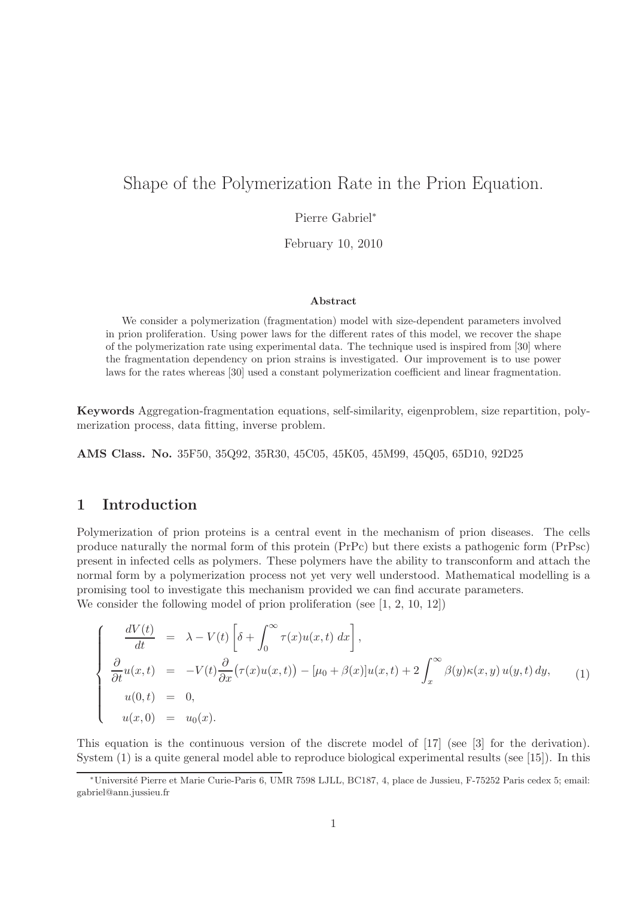# Shape of the Polymerization Rate in the Prion Equation.

Pierre Gabriel<sup>∗</sup>

February 10, 2010

#### Abstract

We consider a polymerization (fragmentation) model with size-dependent parameters involved in prion proliferation. Using power laws for the different rates of this model, we recover the shape of the polymerization rate using experimental data. The technique used is inspired from [30] where the fragmentation dependency on prion strains is investigated. Our improvement is to use power laws for the rates whereas [30] used a constant polymerization coefficient and linear fragmentation.

Keywords Aggregation-fragmentation equations, self-similarity, eigenproblem, size repartition, polymerization process, data fitting, inverse problem.

AMS Class. No. 35F50, 35Q92, 35R30, 45C05, 45K05, 45M99, 45Q05, 65D10, 92D25

### 1 Introduction

Polymerization of prion proteins is a central event in the mechanism of prion diseases. The cells produce naturally the normal form of this protein (PrPc) but there exists a pathogenic form (PrPsc) present in infected cells as polymers. These polymers have the ability to transconform and attach the normal form by a polymerization process not yet very well understood. Mathematical modelling is a promising tool to investigate this mechanism provided we can find accurate parameters. We consider the following model of prion proliferation (see [1, 2, 10, 12])

 $\int$  $\begin{matrix} \end{matrix}$  $\frac{dV(t)}{dt}$  =  $\lambda - V(t) \left[ \delta + \int_0^\infty \right]$ 0  $\tau(x)u(x,t) dx$ ,

$$
\begin{cases}\n\frac{\partial}{\partial t}u(x,t) = -V(t)\frac{\partial}{\partial x}(\tau(x)u(x,t)) - [\mu_0 + \beta(x)]u(x,t) + 2\int_x^{\infty} \beta(y)\kappa(x,y)u(y,t) dy, \\
u(0,t) = 0, \\
u(x,0) = u_0(x).\n\end{cases}
$$
\n(1)

This equation is the continuous version of the discrete model of [17] (see [3] for the derivation). System (1) is a quite general model able to reproduce biological experimental results (see [15]). In this

<sup>∗</sup>Universit´e Pierre et Marie Curie-Paris 6, UMR 7598 LJLL, BC187, 4, place de Jussieu, F-75252 Paris cedex 5; email: gabriel@ann.jussieu.fr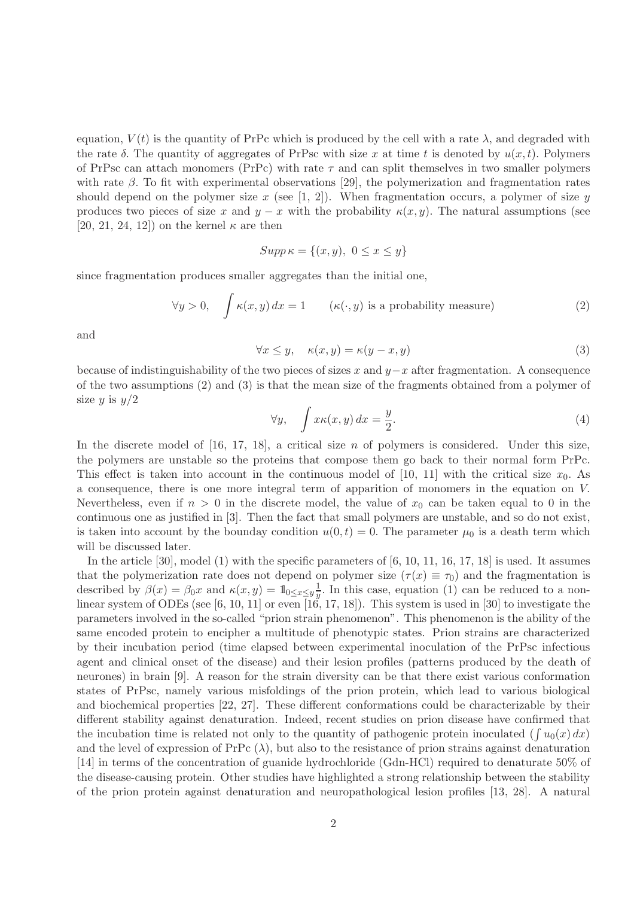equation,  $V(t)$  is the quantity of PrPc which is produced by the cell with a rate  $\lambda$ , and degraded with the rate  $\delta$ . The quantity of aggregates of PrPsc with size x at time t is denoted by  $u(x, t)$ . Polymers of PrPsc can attach monomers (PrPc) with rate  $\tau$  and can split themselves in two smaller polymers with rate  $\beta$ . To fit with experimental observations [29], the polymerization and fragmentation rates should depend on the polymer size x (see [1, 2]). When fragmentation occurs, a polymer of size y produces two pieces of size x and  $y - x$  with the probability  $\kappa(x, y)$ . The natural assumptions (see [20, 21, 24, 12]) on the kernel  $\kappa$  are then

$$
Supp \kappa = \{(x, y), 0 \le x \le y\}
$$

since fragmentation produces smaller aggregates than the initial one,

$$
\forall y > 0, \quad \int \kappa(x, y) dx = 1 \qquad (\kappa(\cdot, y) \text{ is a probability measure}) \tag{2}
$$

and

$$
\forall x \le y, \quad \kappa(x, y) = \kappa(y - x, y) \tag{3}
$$

because of indistinguishability of the two pieces of sizes x and  $y-x$  after fragmentation. A consequence of the two assumptions (2) and (3) is that the mean size of the fragments obtained from a polymer of size  $y$  is  $y/2$ 

$$
\forall y, \quad \int x \kappa(x, y) \, dx = \frac{y}{2}.\tag{4}
$$

In the discrete model of  $[16, 17, 18]$ , a critical size n of polymers is considered. Under this size, the polymers are unstable so the proteins that compose them go back to their normal form PrPc. This effect is taken into account in the continuous model of [10, 11] with the critical size  $x_0$ . As a consequence, there is one more integral term of apparition of monomers in the equation on V. Nevertheless, even if  $n > 0$  in the discrete model, the value of  $x_0$  can be taken equal to 0 in the continuous one as justified in [3]. Then the fact that small polymers are unstable, and so do not exist, is taken into account by the bounday condition  $u(0, t) = 0$ . The parameter  $\mu_0$  is a death term which will be discussed later.

In the article [30], model (1) with the specific parameters of [6, 10, 11, 16, 17, 18] is used. It assumes that the polymerization rate does not depend on polymer size  $(\tau(x) \equiv \tau_0)$  and the fragmentation is described by  $\beta(x) = \beta_0 x$  and  $\kappa(x, y) = 1$ <sub>0≤x≤y</sub><sup>1</sup>. In this case, equation (1) can be reduced to a nonlinear system of ODEs (see [6, 10, 11] or even [16, 17, 18]). This system is used in [30] to investigate the parameters involved in the so-called "prion strain phenomenon". This phenomenon is the ability of the same encoded protein to encipher a multitude of phenotypic states. Prion strains are characterized by their incubation period (time elapsed between experimental inoculation of the PrPsc infectious agent and clinical onset of the disease) and their lesion profiles (patterns produced by the death of neurones) in brain [9]. A reason for the strain diversity can be that there exist various conformation states of PrPsc, namely various misfoldings of the prion protein, which lead to various biological and biochemical properties [22, 27]. These different conformations could be characterizable by their different stability against denaturation. Indeed, recent studies on prion disease have confirmed that the incubation time is related not only to the quantity of pathogenic protein inoculated  $(\int u_0(x) dx)$ and the level of expression of PrPc  $(\lambda)$ , but also to the resistance of prion strains against denaturation [14] in terms of the concentration of guanide hydrochloride (Gdn-HCl) required to denaturate 50% of the disease-causing protein. Other studies have highlighted a strong relationship between the stability of the prion protein against denaturation and neuropathological lesion profiles [13, 28]. A natural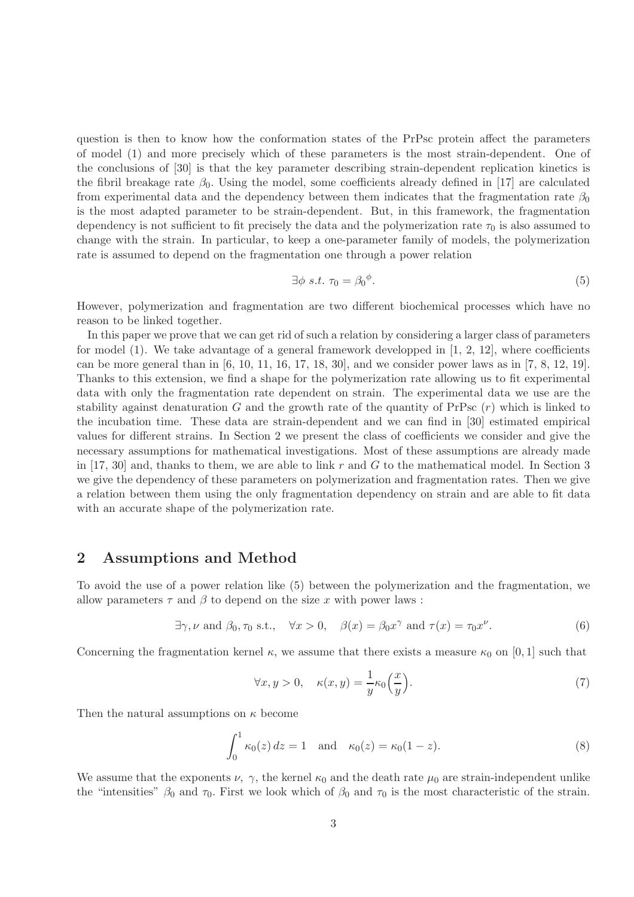question is then to know how the conformation states of the PrPsc protein affect the parameters of model (1) and more precisely which of these parameters is the most strain-dependent. One of the conclusions of [30] is that the key parameter describing strain-dependent replication kinetics is the fibril breakage rate  $\beta_0$ . Using the model, some coefficients already defined in [17] are calculated from experimental data and the dependency between them indicates that the fragmentation rate  $\beta_0$ is the most adapted parameter to be strain-dependent. But, in this framework, the fragmentation dependency is not sufficient to fit precisely the data and the polymerization rate  $\tau_0$  is also assumed to change with the strain. In particular, to keep a one-parameter family of models, the polymerization rate is assumed to depend on the fragmentation one through a power relation

$$
\exists \phi \ s.t. \ \tau_0 = \beta_0^{\phi}.\tag{5}
$$

However, polymerization and fragmentation are two different biochemical processes which have no reason to be linked together.

In this paper we prove that we can get rid of such a relation by considering a larger class of parameters for model  $(1)$ . We take advantage of a general framework developped in  $[1, 2, 12]$ , where coefficients can be more general than in  $[6, 10, 11, 16, 17, 18, 30]$ , and we consider power laws as in  $[7, 8, 12, 19]$ . Thanks to this extension, we find a shape for the polymerization rate allowing us to fit experimental data with only the fragmentation rate dependent on strain. The experimental data we use are the stability against denaturation G and the growth rate of the quantity of PrPsc  $(r)$  which is linked to the incubation time. These data are strain-dependent and we can find in [30] estimated empirical values for different strains. In Section 2 we present the class of coefficients we consider and give the necessary assumptions for mathematical investigations. Most of these assumptions are already made in [17, 30] and, thanks to them, we are able to link r and G to the mathematical model. In Section 3 we give the dependency of these parameters on polymerization and fragmentation rates. Then we give a relation between them using the only fragmentation dependency on strain and are able to fit data with an accurate shape of the polymerization rate.

#### 2 Assumptions and Method

To avoid the use of a power relation like (5) between the polymerization and the fragmentation, we allow parameters  $\tau$  and  $\beta$  to depend on the size x with power laws:

$$
\exists \gamma, \nu \text{ and } \beta_0, \tau_0 \text{ s.t., } \forall x > 0, \quad \beta(x) = \beta_0 x^{\gamma} \text{ and } \tau(x) = \tau_0 x^{\nu}.
$$
 (6)

Concerning the fragmentation kernel  $\kappa$ , we assume that there exists a measure  $\kappa_0$  on [0, 1] such that

$$
\forall x, y > 0, \quad \kappa(x, y) = \frac{1}{y} \kappa_0 \left(\frac{x}{y}\right). \tag{7}
$$

Then the natural assumptions on  $\kappa$  become

$$
\int_0^1 \kappa_0(z) \, dz = 1 \quad \text{and} \quad \kappa_0(z) = \kappa_0(1-z). \tag{8}
$$

We assume that the exponents  $\nu$ ,  $\gamma$ , the kernel  $\kappa_0$  and the death rate  $\mu_0$  are strain-independent unlike the "intensities"  $\beta_0$  and  $\tau_0$ . First we look which of  $\beta_0$  and  $\tau_0$  is the most characteristic of the strain.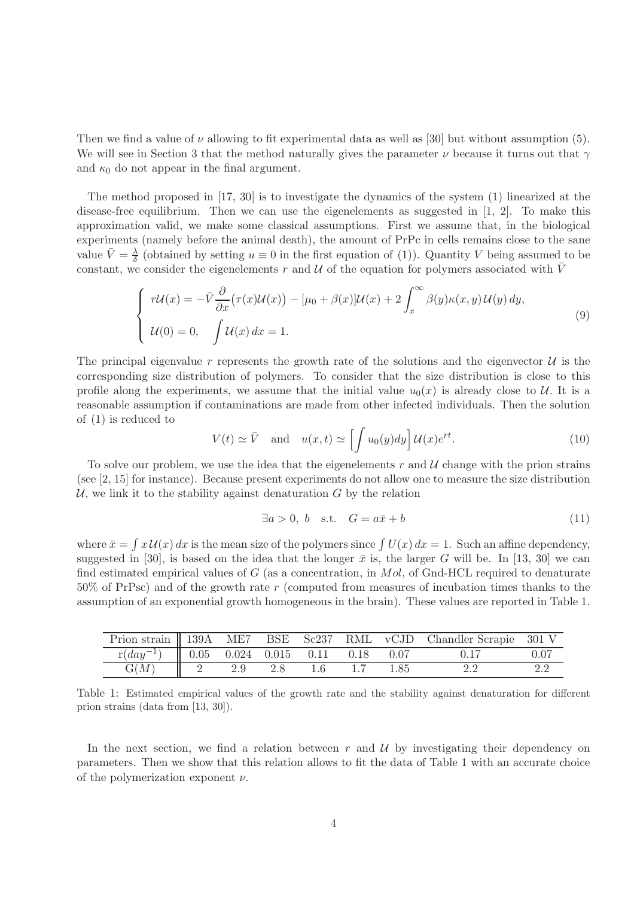Then we find a value of  $\nu$  allowing to fit experimental data as well as [30] but without assumption (5). We will see in Section 3 that the method naturally gives the parameter  $\nu$  because it turns out that  $\gamma$ and  $\kappa_0$  do not appear in the final argument.

The method proposed in [17, 30] is to investigate the dynamics of the system (1) linearized at the disease-free equilibrium. Then we can use the eigenelements as suggested in  $[1, 2]$ . To make this approximation valid, we make some classical assumptions. First we assume that, in the biological experiments (namely before the animal death), the amount of PrPc in cells remains close to the sane value  $\bar{V} = \frac{\lambda}{\delta}$  $\frac{\lambda}{\delta}$  (obtained by setting  $u \equiv 0$  in the first equation of (1)). Quantity V being assumed to be constant, we consider the eigenelements r and U of the equation for polymers associated with  $\bar{V}$ 

$$
\begin{cases}\n r\mathcal{U}(x) = -\bar{V}\frac{\partial}{\partial x}(\tau(x)\mathcal{U}(x)) - [\mu_0 + \beta(x)]\mathcal{U}(x) + 2\int_x^\infty \beta(y)\kappa(x,y)\mathcal{U}(y) dy, \\
 \mathcal{U}(0) = 0, \quad \int \mathcal{U}(x) dx = 1.\n\end{cases}
$$
\n(9)

The principal eigenvalue r represents the growth rate of the solutions and the eigenvector  $\mathcal{U}$  is the corresponding size distribution of polymers. To consider that the size distribution is close to this profile along the experiments, we assume that the initial value  $u_0(x)$  is already close to U. It is a reasonable assumption if contaminations are made from other infected individuals. Then the solution of (1) is reduced to

$$
V(t) \simeq \bar{V} \quad \text{and} \quad u(x,t) \simeq \left[ \int u_0(y) dy \right] \mathcal{U}(x) e^{rt}.
$$
 (10)

To solve our problem, we use the idea that the eigenelements  $r$  and  $\mathcal U$  change with the prion strains (see [2, 15] for instance). Because present experiments do not allow one to measure the size distribution  $U$ , we link it to the stability against denaturation  $G$  by the relation

$$
\exists a > 0, b \quad \text{s.t.} \quad G = a\bar{x} + b \tag{11}
$$

where  $\bar{x} = \int x \mathcal{U}(x) dx$  is the mean size of the polymers since  $\int U(x) dx = 1$ . Such an affine dependency, suggested in [30], is based on the idea that the longer  $\bar{x}$  is, the larger G will be. In [13, 30] we can find estimated empirical values of  $G$  (as a concentration, in  $Mol$ , of Gnd-HCL required to denaturate 50% of PrPsc) and of the growth rate r (computed from measures of incubation times thanks to the assumption of an exponential growth homogeneous in the brain). These values are reported in Table 1.

|                                                                       |     |  |      | Prion strain    139A ME7 BSE Sc237 RML vCJD Chandler Scrapie 301 V |          |
|-----------------------------------------------------------------------|-----|--|------|--------------------------------------------------------------------|----------|
| $\boxed{\text{r}(day^{-1})$ $\boxed{0.05}$ 0.024 0.015 0.11 0.18 0.07 |     |  |      |                                                                    | $0.07\,$ |
| G(M)                                                                  | 2.9 |  | 1.85 |                                                                    |          |

Table 1: Estimated empirical values of the growth rate and the stability against denaturation for different prion strains (data from [13, 30]).

In the next section, we find a relation between  $r$  and  $\mathcal U$  by investigating their dependency on parameters. Then we show that this relation allows to fit the data of Table 1 with an accurate choice of the polymerization exponent  $\nu$ .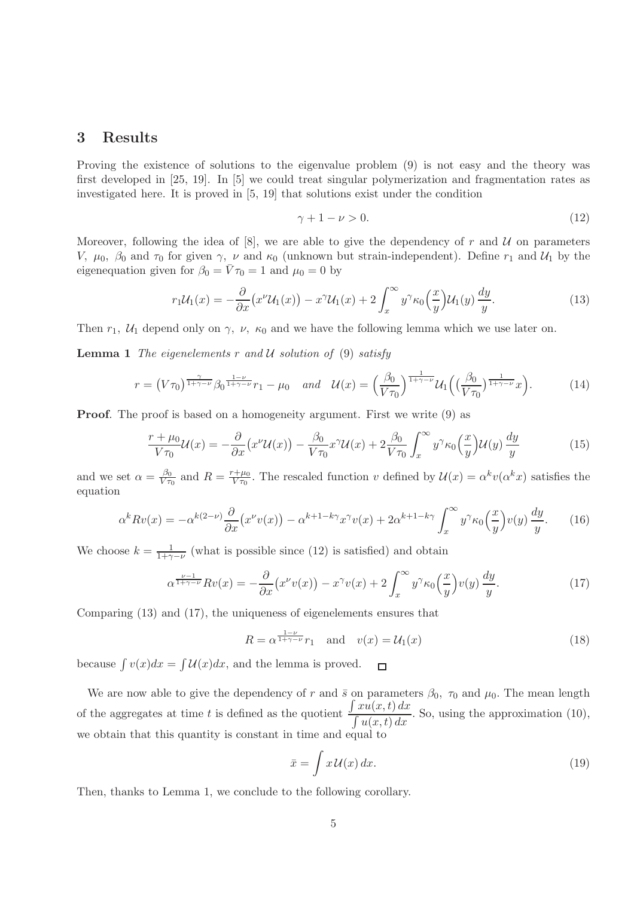### 3 Results

Proving the existence of solutions to the eigenvalue problem (9) is not easy and the theory was first developed in [25, 19]. In [5] we could treat singular polymerization and fragmentation rates as investigated here. It is proved in [5, 19] that solutions exist under the condition

$$
\gamma + 1 - \nu > 0. \tag{12}
$$

Moreover, following the idea of  $[8]$ , we are able to give the dependency of r and U on parameters V,  $\mu_0$ ,  $\beta_0$  and  $\tau_0$  for given  $\gamma$ ,  $\nu$  and  $\kappa_0$  (unknown but strain-independent). Define  $r_1$  and  $\mathcal{U}_1$  by the eigenequation given for  $\beta_0 = \bar{V}\tau_0 = 1$  and  $\mu_0 = 0$  by

$$
r_1 \mathcal{U}_1(x) = -\frac{\partial}{\partial x} \left( x^{\nu} \mathcal{U}_1(x) \right) - x^{\gamma} \mathcal{U}_1(x) + 2 \int_x^{\infty} y^{\gamma} \kappa_0 \left( \frac{x}{y} \right) \mathcal{U}_1(y) \frac{dy}{y}.
$$
 (13)

Then  $r_1$ ,  $U_1$  depend only on  $\gamma$ ,  $\nu$ ,  $\kappa_0$  and we have the following lemma which we use later on.

**Lemma 1** The eigenelements r and U solution of (9) satisfy

$$
r = (V\tau_0)^{\frac{\gamma}{1+\gamma-\nu}} \beta_0^{\frac{1-\nu}{1+\gamma-\nu}} r_1 - \mu_0 \quad and \quad \mathcal{U}(x) = \left(\frac{\beta_0}{V\tau_0}\right)^{\frac{1}{1+\gamma-\nu}} \mathcal{U}_1\left(\left(\frac{\beta_0}{V\tau_0}\right)^{\frac{1}{1+\gamma-\nu}} x\right). \tag{14}
$$

Proof. The proof is based on a homogeneity argument. First we write (9) as

$$
\frac{r+\mu_0}{V\tau_0}\mathcal{U}(x) = -\frac{\partial}{\partial x}\left(x^{\nu}\mathcal{U}(x)\right) - \frac{\beta_0}{V\tau_0}x^{\gamma}\mathcal{U}(x) + 2\frac{\beta_0}{V\tau_0}\int_x^{\infty} y^{\gamma}\kappa_0\left(\frac{x}{y}\right)\mathcal{U}(y)\frac{dy}{y}
$$
(15)

and we set  $\alpha = \frac{\beta_0}{V \tau}$  $\frac{\beta_0}{V\tau_0}$  and  $R = \frac{r+\mu_0}{V\tau_0}$  $\frac{\partial^2 \psi}{\partial x \partial y}$ . The rescaled function v defined by  $\mathcal{U}(x) = \alpha^k v(\alpha^k x)$  satisfies the equation

$$
\alpha^k R v(x) = -\alpha^{k(2-\nu)} \frac{\partial}{\partial x} \left( x^{\nu} v(x) \right) - \alpha^{k+1-k\gamma} x^{\gamma} v(x) + 2\alpha^{k+1-k\gamma} \int_x^{\infty} y^{\gamma} \kappa_0 \left( \frac{x}{y} \right) v(y) \frac{dy}{y}.
$$
 (16)

We choose  $k = \frac{1}{1+\gamma-\nu}$  (what is possible since (12) is satisfied) and obtain

$$
\alpha^{\frac{\nu-1}{1+\gamma-\nu}} Rv(x) = -\frac{\partial}{\partial x} \left( x^{\nu} v(x) \right) - x^{\gamma} v(x) + 2 \int_x^{\infty} y^{\gamma} \kappa_0 \left( \frac{x}{y} \right) v(y) \frac{dy}{y}.
$$
 (17)

Comparing (13) and (17), the uniqueness of eigenelements ensures that

$$
R = \alpha^{\frac{1-\nu}{1+\gamma-\nu}} r_1 \quad \text{and} \quad v(x) = \mathcal{U}_1(x) \tag{18}
$$

because  $\int v(x)dx = \int \mathcal{U}(x)dx$ , and the lemma is proved.  $\Box$ 

We are now able to give the dependency of r and  $\bar{s}$  on parameters  $\beta_0$ ,  $\tau_0$  and  $\mu_0$ . The mean length of the aggregates at time  $t$  is defined as the quotient  $\int xu(x,t) dx$  $\frac{\int u(x,t) dx}{\int u(x,t) dx}$ . So, using the approximation (10), we obtain that this quantity is constant in time and equal to

$$
\bar{x} = \int x \, \mathcal{U}(x) \, dx. \tag{19}
$$

Then, thanks to Lemma 1, we conclude to the following corollary.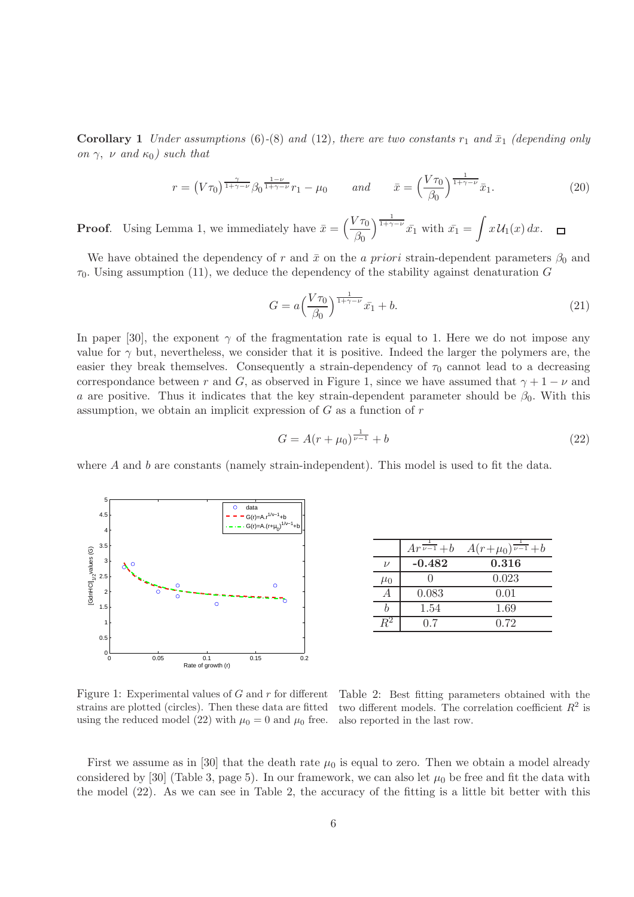**Corollary 1** Under assumptions (6)-(8) and (12), there are two constants  $r_1$  and  $\bar{x}_1$  (depending only on  $\gamma$ ,  $\nu$  and  $\kappa_0$ ) such that

$$
r = \left(V\tau_0\right)^{\frac{\gamma}{1+\gamma-\nu}} \beta_0^{\frac{1-\nu}{1+\gamma-\nu}} r_1 - \mu_0 \qquad \text{and} \qquad \bar{x} = \left(\frac{V\tau_0}{\beta_0}\right)^{\frac{1}{1+\gamma-\nu}} \bar{x}_1. \tag{20}
$$

 $\int_{1+\gamma-\nu}^{\frac{1}{1+\gamma-\nu}} \bar{x_1}$  with  $\bar{x_1} = \int x \mathcal{U}_1(x) dx$ . **Proof.** Using Lemma 1, we immediately have  $\bar{x} = \left(\frac{V\tau_0}{\sigma}\right)$  $\Box$  $\beta_0$ 

We have obtained the dependency of r and  $\bar{x}$  on the a priori strain-dependent parameters  $\beta_0$  and  $\tau_0$ . Using assumption (11), we deduce the dependency of the stability against denaturation G

$$
G = a \left(\frac{V\tau_0}{\beta_0}\right)^{\frac{1}{1+\gamma-\nu}} \bar{x_1} + b. \tag{21}
$$

In paper [30], the exponent  $\gamma$  of the fragmentation rate is equal to 1. Here we do not impose any value for  $\gamma$  but, nevertheless, we consider that it is positive. Indeed the larger the polymers are, the easier they break themselves. Consequently a strain-dependency of  $\tau_0$  cannot lead to a decreasing correspondance between r and G, as observed in Figure 1, since we have assumed that  $\gamma + 1 - \nu$  and a are positive. Thus it indicates that the key strain-dependent parameter should be  $\beta_0$ . With this assumption, we obtain an implicit expression of  $G$  as a function of  $r$ 

$$
G = A(r + \mu_0)^{\frac{1}{\nu - 1}} + b \tag{22}
$$

where  $A$  and  $b$  are constants (namely strain-independent). This model is used to fit the data.



|         | $Ar^{\overline{\nu-1}}+b$ | $A(r+\mu_0)^{\frac{1}{\nu-1}}+b$ |
|---------|---------------------------|----------------------------------|
| $\nu$   | $-0.482$                  | 0.316                            |
| $\mu_0$ |                           | 0.023                            |
|         | 0.083                     | 0.01                             |
|         | 1.54                      | 1.69                             |
|         | 0.7                       | 0.72                             |

Figure 1: Experimental values of  $G$  and  $r$  for different strains are plotted (circles). Then these data are fitted using the reduced model (22) with  $\mu_0 = 0$  and  $\mu_0$  free.

Table 2: Best fitting parameters obtained with the two different models. The correlation coefficient  $R^2$  is also reported in the last row.

First we assume as in [30] that the death rate  $\mu_0$  is equal to zero. Then we obtain a model already considered by [30] (Table 3, page 5). In our framework, we can also let  $\mu_0$  be free and fit the data with the model (22). As we can see in Table 2, the accuracy of the fitting is a little bit better with this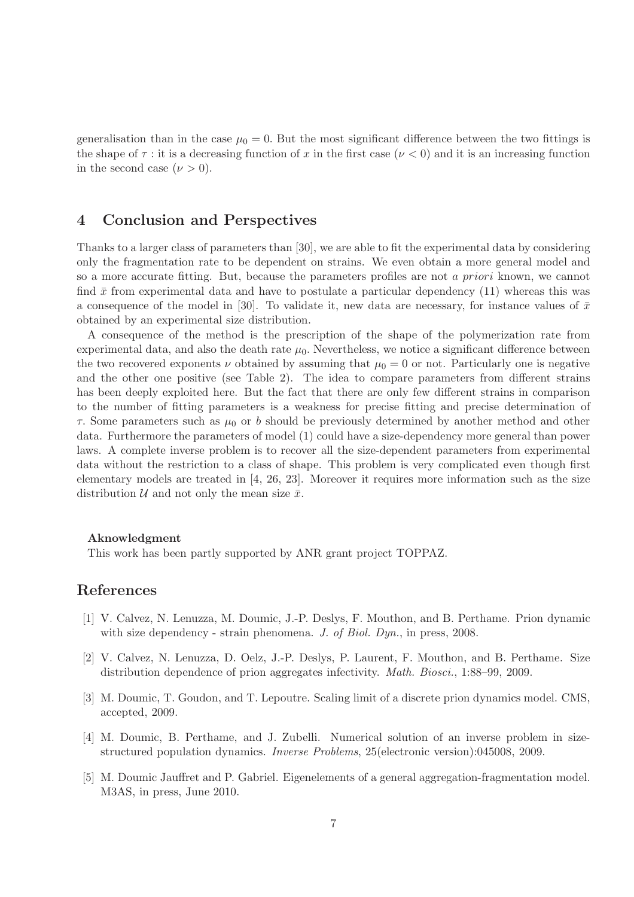generalisation than in the case  $\mu_0 = 0$ . But the most significant difference between the two fittings is the shape of  $\tau$ : it is a decreasing function of x in the first case  $(\nu < 0)$  and it is an increasing function in the second case  $(\nu > 0)$ .

## 4 Conclusion and Perspectives

Thanks to a larger class of parameters than [30], we are able to fit the experimental data by considering only the fragmentation rate to be dependent on strains. We even obtain a more general model and so a more accurate fitting. But, because the parameters profiles are not a priori known, we cannot find  $\bar{x}$  from experimental data and have to postulate a particular dependency (11) whereas this was a consequence of the model in [30]. To validate it, new data are necessary, for instance values of  $\bar{x}$ obtained by an experimental size distribution.

A consequence of the method is the prescription of the shape of the polymerization rate from experimental data, and also the death rate  $\mu_0$ . Nevertheless, we notice a significant difference between the two recovered exponents  $\nu$  obtained by assuming that  $\mu_0 = 0$  or not. Particularly one is negative and the other one positive (see Table 2). The idea to compare parameters from different strains has been deeply exploited here. But the fact that there are only few different strains in comparison to the number of fitting parameters is a weakness for precise fitting and precise determination of  $\tau$ . Some parameters such as  $\mu_0$  or b should be previously determined by another method and other data. Furthermore the parameters of model (1) could have a size-dependency more general than power laws. A complete inverse problem is to recover all the size-dependent parameters from experimental data without the restriction to a class of shape. This problem is very complicated even though first elementary models are treated in [4, 26, 23]. Moreover it requires more information such as the size distribution  $U$  and not only the mean size  $\bar{x}$ .

#### Aknowledgment

This work has been partly supported by ANR grant project TOPPAZ.

#### References

- [1] V. Calvez, N. Lenuzza, M. Doumic, J.-P. Deslys, F. Mouthon, and B. Perthame. Prion dynamic with size dependency - strain phenomena. J. of Biol. Dyn., in press, 2008.
- [2] V. Calvez, N. Lenuzza, D. Oelz, J.-P. Deslys, P. Laurent, F. Mouthon, and B. Perthame. Size distribution dependence of prion aggregates infectivity. Math. Biosci., 1:88–99, 2009.
- [3] M. Doumic, T. Goudon, and T. Lepoutre. Scaling limit of a discrete prion dynamics model. CMS, accepted, 2009.
- [4] M. Doumic, B. Perthame, and J. Zubelli. Numerical solution of an inverse problem in sizestructured population dynamics. Inverse Problems, 25(electronic version):045008, 2009.
- [5] M. Doumic Jauffret and P. Gabriel. Eigenelements of a general aggregation-fragmentation model. M3AS, in press, June 2010.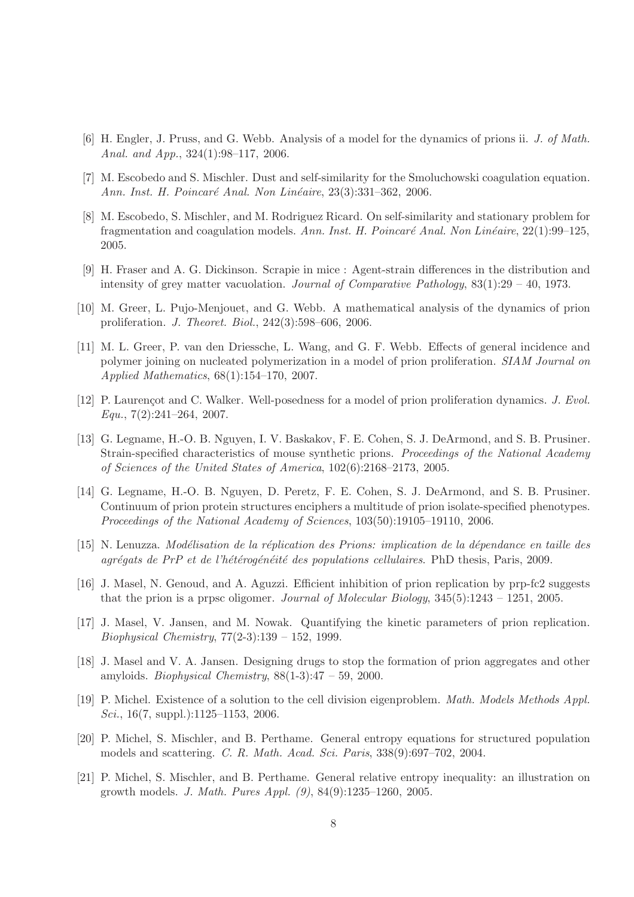- [6] H. Engler, J. Pruss, and G. Webb. Analysis of a model for the dynamics of prions ii. J. of Math. Anal. and App., 324(1):98–117, 2006.
- [7] M. Escobedo and S. Mischler. Dust and self-similarity for the Smoluchowski coagulation equation. Ann. Inst. H. Poincaré Anal. Non Linéaire, 23(3):331–362, 2006.
- [8] M. Escobedo, S. Mischler, and M. Rodriguez Ricard. On self-similarity and stationary problem for fragmentation and coagulation models. Ann. Inst. H. Poincaré Anal. Non Linéaire,  $22(1):99-125$ , 2005.
- [9] H. Fraser and A. G. Dickinson. Scrapie in mice : Agent-strain differences in the distribution and intensity of grey matter vacuolation. Journal of Comparative Pathology,  $83(1):29-40$ , 1973.
- [10] M. Greer, L. Pujo-Menjouet, and G. Webb. A mathematical analysis of the dynamics of prion proliferation. J. Theoret. Biol., 242(3):598–606, 2006.
- [11] M. L. Greer, P. van den Driessche, L. Wang, and G. F. Webb. Effects of general incidence and polymer joining on nucleated polymerization in a model of prion proliferation. SIAM Journal on Applied Mathematics, 68(1):154–170, 2007.
- [12] P. Laurençot and C. Walker. Well-posedness for a model of prion proliferation dynamics. J. Evol.  $Equ., 7(2):241-264, 2007.$
- [13] G. Legname, H.-O. B. Nguyen, I. V. Baskakov, F. E. Cohen, S. J. DeArmond, and S. B. Prusiner. Strain-specified characteristics of mouse synthetic prions. Proceedings of the National Academy of Sciences of the United States of America, 102(6):2168–2173, 2005.
- [14] G. Legname, H.-O. B. Nguyen, D. Peretz, F. E. Cohen, S. J. DeArmond, and S. B. Prusiner. Continuum of prion protein structures enciphers a multitude of prion isolate-specified phenotypes. Proceedings of the National Academy of Sciences, 103(50):19105–19110, 2006.
- [15] N. Lenuzza. Modélisation de la réplication des Prions: implication de la dépendance en taille des  $aqr\acute{e}qats$  de PrP et de l'hétérogénéité des populations cellulaires. PhD thesis, Paris, 2009.
- [16] J. Masel, N. Genoud, and A. Aguzzi. Efficient inhibition of prion replication by prp-fc2 suggests that the prion is a prpsc oligomer. Journal of Molecular Biology,  $345(5):1243 - 1251$ ,  $2005$ .
- [17] J. Masel, V. Jansen, and M. Nowak. Quantifying the kinetic parameters of prion replication. Biophysical Chemistry, 77(2-3):139 – 152, 1999.
- [18] J. Masel and V. A. Jansen. Designing drugs to stop the formation of prion aggregates and other amyloids. *Biophysical Chemistry*,  $88(1-3):47 - 59$ , 2000.
- [19] P. Michel. Existence of a solution to the cell division eigenproblem. Math. Models Methods Appl. Sci.,  $16(7, \text{suppl.})$ :1125–1153, 2006.
- [20] P. Michel, S. Mischler, and B. Perthame. General entropy equations for structured population models and scattering. C. R. Math. Acad. Sci. Paris, 338(9):697–702, 2004.
- [21] P. Michel, S. Mischler, and B. Perthame. General relative entropy inequality: an illustration on growth models. J. Math. Pures Appl. (9), 84(9):1235–1260, 2005.